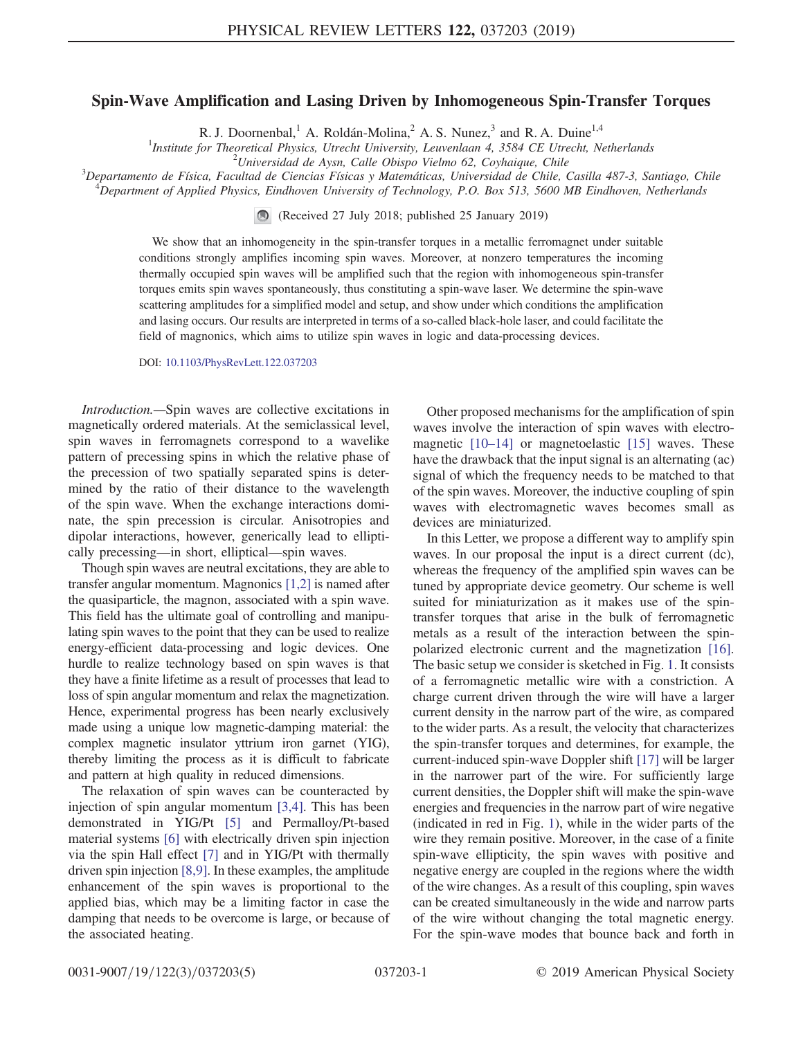## Spin-Wave Amplification and Lasing Driven by Inhomogeneous Spin-Transfer Torques

R. J. Doornenbal,<sup>1</sup> A. Roldán-Molina,<sup>2</sup> A. S. Nunez,<sup>3</sup> and R. A. Duine<sup>1,4</sup>

<sup>1</sup>Institute for Theoretical Physics, Utrecht University, Leuvenlaan 4, 3584 CE Utrecht, Netherlands<sup>2</sup>Universited de Aven, Calle Objene Vielme 62, Conhaigue, Chile

Universidad de Aysn, Calle Obispo Vielmo 62, Coyhaique, Chile<sup>3</sup><br>Penartamento de Eísica, Facultad de Gioneias Eísicas y Matemáticas, Universidad de Chile

Departamento de Física, Facultad de Ciencias Físicas y Matemáticas, Universidad de Chile, Casilla 487-3, Santiago, Chile <sup>4</sup>  $^4$ Department of Applied Physics, Eindhoven University of Technology, P.O. Box 513, 5600 MB Eindhoven, Netherlands

(Received 27 July 2018; published 25 January 2019)

We show that an inhomogeneity in the spin-transfer torques in a metallic ferromagnet under suitable conditions strongly amplifies incoming spin waves. Moreover, at nonzero temperatures the incoming thermally occupied spin waves will be amplified such that the region with inhomogeneous spin-transfer torques emits spin waves spontaneously, thus constituting a spin-wave laser. We determine the spin-wave scattering amplitudes for a simplified model and setup, and show under which conditions the amplification and lasing occurs. Our results are interpreted in terms of a so-called black-hole laser, and could facilitate the field of magnonics, which aims to utilize spin waves in logic and data-processing devices.

DOI: [10.1103/PhysRevLett.122.037203](https://doi.org/10.1103/PhysRevLett.122.037203)

Introduction.—Spin waves are collective excitations in magnetically ordered materials. At the semiclassical level, spin waves in ferromagnets correspond to a wavelike pattern of precessing spins in which the relative phase of the precession of two spatially separated spins is determined by the ratio of their distance to the wavelength of the spin wave. When the exchange interactions dominate, the spin precession is circular. Anisotropies and dipolar interactions, however, generically lead to elliptically precessing—in short, elliptical—spin waves.

Though spin waves are neutral excitations, they are able to transfer angular momentum. Magnonics [\[1,2\]](#page-4-0) is named after the quasiparticle, the magnon, associated with a spin wave. This field has the ultimate goal of controlling and manipulating spin waves to the point that they can be used to realize energy-efficient data-processing and logic devices. One hurdle to realize technology based on spin waves is that they have a finite lifetime as a result of processes that lead to loss of spin angular momentum and relax the magnetization. Hence, experimental progress has been nearly exclusively made using a unique low magnetic-damping material: the complex magnetic insulator yttrium iron garnet (YIG), thereby limiting the process as it is difficult to fabricate and pattern at high quality in reduced dimensions.

The relaxation of spin waves can be counteracted by injection of spin angular momentum [\[3,4\]](#page-4-1). This has been demonstrated in YIG/Pt [\[5\]](#page-4-2) and Permalloy/Pt-based material systems [\[6\]](#page-4-3) with electrically driven spin injection via the spin Hall effect [\[7\]](#page-4-4) and in YIG/Pt with thermally driven spin injection [\[8,9\]](#page-4-5). In these examples, the amplitude enhancement of the spin waves is proportional to the applied bias, which may be a limiting factor in case the damping that needs to be overcome is large, or because of the associated heating.

Other proposed mechanisms for the amplification of spin waves involve the interaction of spin waves with electromagnetic [10–[14\]](#page-4-6) or magnetoelastic [\[15\]](#page-4-7) waves. These have the drawback that the input signal is an alternating (ac) signal of which the frequency needs to be matched to that of the spin waves. Moreover, the inductive coupling of spin waves with electromagnetic waves becomes small as devices are miniaturized.

In this Letter, we propose a different way to amplify spin waves. In our proposal the input is a direct current (dc), whereas the frequency of the amplified spin waves can be tuned by appropriate device geometry. Our scheme is well suited for miniaturization as it makes use of the spintransfer torques that arise in the bulk of ferromagnetic metals as a result of the interaction between the spinpolarized electronic current and the magnetization [\[16\]](#page-4-8). The basic setup we consider is sketched in Fig. [1](#page-1-0). It consists of a ferromagnetic metallic wire with a constriction. A charge current driven through the wire will have a larger current density in the narrow part of the wire, as compared to the wider parts. As a result, the velocity that characterizes the spin-transfer torques and determines, for example, the current-induced spin-wave Doppler shift [\[17\]](#page-4-9) will be larger in the narrower part of the wire. For sufficiently large current densities, the Doppler shift will make the spin-wave energies and frequencies in the narrow part of wire negative (indicated in red in Fig. [1](#page-1-0)), while in the wider parts of the wire they remain positive. Moreover, in the case of a finite spin-wave ellipticity, the spin waves with positive and negative energy are coupled in the regions where the width of the wire changes. As a result of this coupling, spin waves can be created simultaneously in the wide and narrow parts of the wire without changing the total magnetic energy. For the spin-wave modes that bounce back and forth in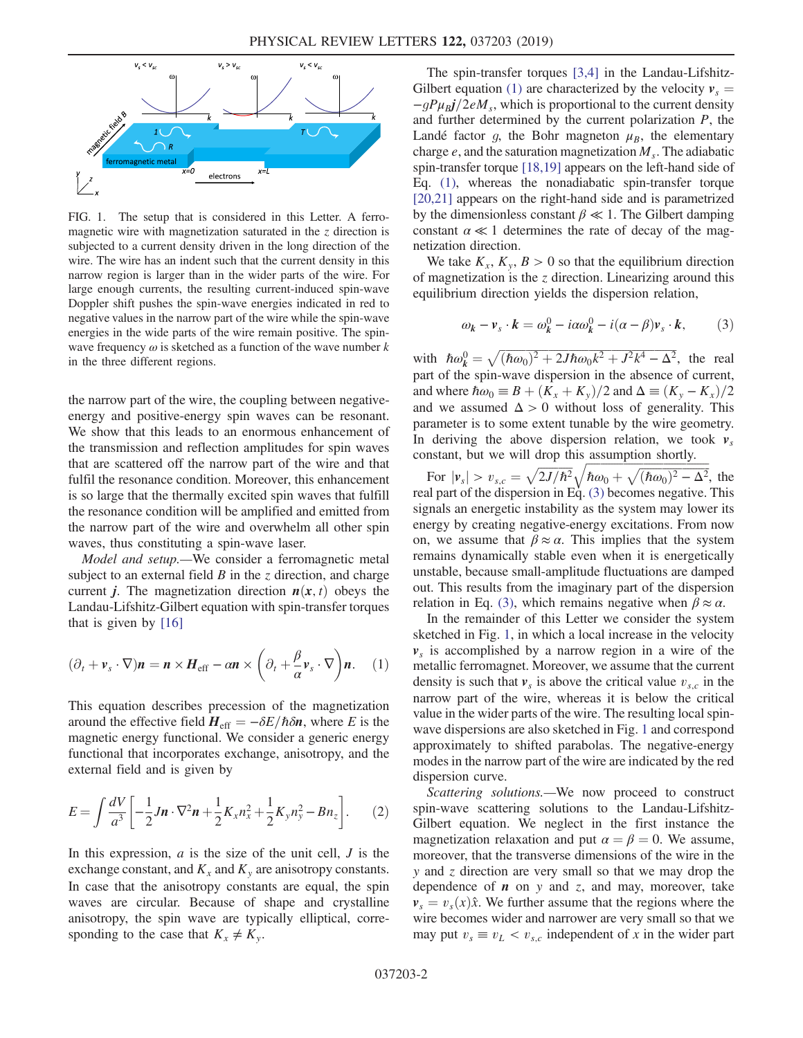<span id="page-1-0"></span>

FIG. 1. The setup that is considered in this Letter. A ferromagnetic wire with magnetization saturated in the  $\zeta$  direction is subjected to a current density driven in the long direction of the wire. The wire has an indent such that the current density in this narrow region is larger than in the wider parts of the wire. For large enough currents, the resulting current-induced spin-wave Doppler shift pushes the spin-wave energies indicated in red to negative values in the narrow part of the wire while the spin-wave energies in the wide parts of the wire remain positive. The spinwave frequency  $\omega$  is sketched as a function of the wave number k in the three different regions.

the narrow part of the wire, the coupling between negativeenergy and positive-energy spin waves can be resonant. We show that this leads to an enormous enhancement of the transmission and reflection amplitudes for spin waves that are scattered off the narrow part of the wire and that fulfil the resonance condition. Moreover, this enhancement is so large that the thermally excited spin waves that fulfill the resonance condition will be amplified and emitted from the narrow part of the wire and overwhelm all other spin waves, thus constituting a spin-wave laser.

Model and setup.—We consider a ferromagnetic metal subject to an external field  $B$  in the  $z$  direction, and charge current *j*. The magnetization direction  $n(x, t)$  obeys the Landau-Lifshitz-Gilbert equation with spin-transfer torques that is given by [\[16\]](#page-4-8)

<span id="page-1-1"></span>
$$
(\partial_t + \mathbf{v}_s \cdot \nabla)\mathbf{n} = \mathbf{n} \times \mathbf{H}_{\text{eff}} - \alpha \mathbf{n} \times \left(\partial_t + \frac{\beta}{\alpha} \mathbf{v}_s \cdot \nabla\right) \mathbf{n}.\tag{1}
$$

This equation describes precession of the magnetization around the effective field  $H_{\text{eff}} = -\delta E/\hbar \delta n$ , where E is the magnetic energy functional. We consider a generic energy functional that incorporates exchange, anisotropy, and the external field and is given by

$$
E = \int \frac{dV}{a^3} \left[ -\frac{1}{2} J \mathbf{n} \cdot \nabla^2 \mathbf{n} + \frac{1}{2} K_x n_x^2 + \frac{1}{2} K_y n_y^2 - B n_z \right].
$$
 (2)

In this expression,  $a$  is the size of the unit cell,  $J$  is the exchange constant, and  $K_x$  and  $K_y$  are anisotropy constants. In case that the anisotropy constants are equal, the spin waves are circular. Because of shape and crystalline anisotropy, the spin wave are typically elliptical, corresponding to the case that  $K_x \neq K_y$ .

The spin-transfer torques [\[3,4\]](#page-4-1) in the Landau-Lifshitz-Gilbert equation [\(1\)](#page-1-1) are characterized by the velocity  $v_s =$  $-gP\mu_B j/2eM_s$ , which is proportional to the current density and further determined by the current polarization  $P$ , the Landé factor g, the Bohr magneton  $\mu_B$ , the elementary charge  $e$ , and the saturation magnetization  $M_s$ . The adiabatic spin-transfer torque [\[18,19\]](#page-4-10) appears on the left-hand side of Eq. [\(1\),](#page-1-1) whereas the nonadiabatic spin-transfer torque [\[20,21\]](#page-4-11) appears on the right-hand side and is parametrized by the dimensionless constant  $\beta \ll 1$ . The Gilbert damping constant  $\alpha \ll 1$  determines the rate of decay of the magnetization direction.

<span id="page-1-2"></span>We take  $K_x$ ,  $K_y$ ,  $B > 0$  so that the equilibrium direction of magnetization is the  $z$  direction. Linearizing around this equilibrium direction yields the dispersion relation,

$$
\omega_k - \nu_s \cdot k = \omega_k^0 - i\alpha \omega_k^0 - i(\alpha - \beta)\nu_s \cdot k,\tag{3}
$$

with  $\hbar \omega_k^0 = \sqrt{(\hbar \omega_0)^2 + 2J\hbar \omega_0 k^2 + J^2 k^4 - \Delta^2}$ , the real part of the spin-wave dispersion in the absence of current, and where  $\hbar \omega_0 \equiv B + (K_x + K_y)/2$  and  $\Delta \equiv (K_y - K_x)/2$ and we assumed  $\Delta > 0$  without loss of generality. This parameter is to some extent tunable by the wire geometry. In deriving the above dispersion relation, we took  $v_s$ constant, but we will drop this assumption shortly.

For  $|v_s| > v_{s,c} = \sqrt{2J/\hbar^2} \sqrt{\hbar \omega_0 + \sqrt{(\hbar \omega_0)^2 - \Delta^2}}$ , the real part of the dispersion in Eq. [\(3\)](#page-1-2) becomes negative. This signals an energetic instability as the system may lower its energy by creating negative-energy excitations. From now on, we assume that  $\beta \approx \alpha$ . This implies that the system remains dynamically stable even when it is energetically unstable, because small-amplitude fluctuations are damped out. This results from the imaginary part of the dispersion relation in Eq. [\(3\),](#page-1-2) which remains negative when  $\beta \approx \alpha$ .

In the remainder of this Letter we consider the system sketched in Fig. [1](#page-1-0), in which a local increase in the velocity  $v<sub>s</sub>$  is accomplished by a narrow region in a wire of the metallic ferromagnet. Moreover, we assume that the current density is such that  $v_s$  is above the critical value  $v_{s,c}$  in the narrow part of the wire, whereas it is below the critical value in the wider parts of the wire. The resulting local spinwave dispersions are also sketched in Fig. [1](#page-1-0) and correspond approximately to shifted parabolas. The negative-energy modes in the narrow part of the wire are indicated by the red dispersion curve.

Scattering solutions.—We now proceed to construct spin-wave scattering solutions to the Landau-Lifshitz-Gilbert equation. We neglect in the first instance the magnetization relaxation and put  $\alpha = \beta = 0$ . We assume, moreover, that the transverse dimensions of the wire in the y and z direction are very small so that we may drop the dependence of  $\boldsymbol{n}$  on  $y$  and  $z$ , and may, moreover, take  $v_s = v_s(x)\hat{x}$ . We further assume that the regions where the wire becomes wider and narrower are very small so that we may put  $v_s \equiv v_L < v_{s,c}$  independent of x in the wider part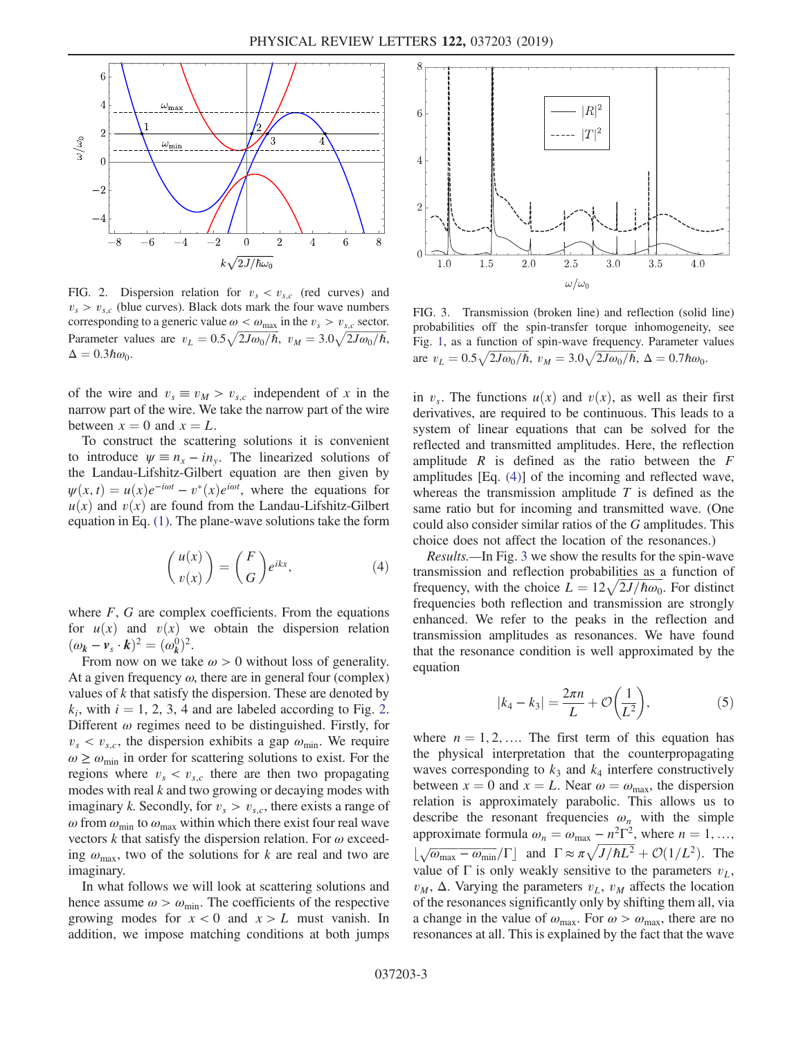<span id="page-2-0"></span>

FIG. 2. Dispersion relation for  $v_s < v_{s,c}$  (red curves) and  $v_s > v_{s,c}$  (blue curves). Black dots mark the four wave numbers corresponding to a generic value  $\omega < \omega_{\text{max}}$  in the  $v_s > v_{s,c}$  sector. Parameter values are  $v_L = 0.5 \sqrt{2J\omega_0/\hbar}$ ,  $v_M = 3.0 \sqrt{2J\omega_0/\hbar}$ ,  $\Delta = 0.3\hbar\omega_0.$ 

of the wire and  $v_s \equiv v_M > v_{s,c}$  independent of x in the narrow part of the wire. We take the narrow part of the wire between  $x = 0$  and  $x = L$ .

<span id="page-2-1"></span>To construct the scattering solutions it is convenient to introduce  $\psi \equiv n_x - i n_y$ . The linearized solutions of the Landau-Lifshitz-Gilbert equation are then given by  $\psi(x, t) = u(x)e^{-i\omega t} - v^*(x)e^{i\omega t}$ , where the equations for  $u(x)$  and  $v(x)$  are found from the Landau-Lifshitz-Gilbert equation in Eq. [\(1\)](#page-1-1). The plane-wave solutions take the form

$$
\binom{u(x)}{v(x)} = \binom{F}{G} e^{ikx},\tag{4}
$$

where  $F$ ,  $G$  are complex coefficients. From the equations for  $u(x)$  and  $v(x)$  we obtain the dispersion relation  $(\omega_k - v_s \cdot k)^2 = (\omega_k^0)^2$ .

From now on we take  $\omega > 0$  without loss of generality. At a given frequency  $\omega$ , there are in general four (complex) values of  $k$  that satisfy the dispersion. These are denoted by  $k_i$ , with  $i = 1, 2, 3, 4$  $i = 1, 2, 3, 4$  $i = 1, 2, 3, 4$  and are labeled according to Fig. 2. Different  $\omega$  regimes need to be distinguished. Firstly, for  $v_s < v_{s,c}$ , the dispersion exhibits a gap  $\omega_{\min}$ . We require  $\omega \geq \omega_{\min}$  in order for scattering solutions to exist. For the regions where  $v_s < v_{s,c}$  there are then two propagating modes with real  $k$  and two growing or decaying modes with imaginary k. Secondly, for  $v_s > v_{s,c}$ , there exists a range of  $\omega$  from  $\omega_{\text{min}}$  to  $\omega_{\text{max}}$  within which there exist four real wave vectors k that satisfy the dispersion relation. For  $\omega$  exceeding  $\omega_{\text{max}}$ , two of the solutions for k are real and two are imaginary.

In what follows we will look at scattering solutions and hence assume  $\omega > \omega_{\min}$ . The coefficients of the respective growing modes for  $x < 0$  and  $x > L$  must vanish. In addition, we impose matching conditions at both jumps

<span id="page-2-2"></span>

FIG. 3. Transmission (broken line) and reflection (solid line) probabilities off the spin-transfer torque inhomogeneity, see Fig. [1](#page-1-0), as a function of spin-wave frequency. Parameter values are  $v_L = 0.5 \sqrt{2J\omega_0/\hbar}$ ,  $v_M = 3.0 \sqrt{2J\omega_0/\hbar}$ ,  $\Delta = 0.7\hbar\omega_0$ .

in  $v_s$ . The functions  $u(x)$  and  $v(x)$ , as well as their first derivatives, are required to be continuous. This leads to a system of linear equations that can be solved for the reflected and transmitted amplitudes. Here, the reflection amplitude  $R$  is defined as the ratio between the  $F$ amplitudes [Eq. [\(4\)\]](#page-2-1) of the incoming and reflected wave, whereas the transmission amplitude  $T$  is defined as the same ratio but for incoming and transmitted wave. (One could also consider similar ratios of the G amplitudes. This choice does not affect the location of the resonances.)

Results.—In Fig. [3](#page-2-2) we show the results for the spin-wave transmission and reflection probabilities as a function of frequency, with the choice  $L = 12\sqrt{2J/\hbar\omega_0}$ . For distinct frequencies both reflection and transmission are strongly enhanced. We refer to the peaks in the reflection and transmission amplitudes as resonances. We have found that the resonance condition is well approximated by the equation

$$
|k_4 - k_3| = \frac{2\pi n}{L} + \mathcal{O}\left(\frac{1}{L^2}\right),\tag{5}
$$

<span id="page-2-3"></span>where  $n = 1, 2, \dots$  The first term of this equation has the physical interpretation that the counterpropagating waves corresponding to  $k_3$  and  $k_4$  interfere constructively between  $x = 0$  and  $x = L$ . Near  $\omega = \omega_{\text{max}}$ , the dispersion relation is approximately parabolic. This allows us to describe the resonant frequencies  $\omega_n$  with the simple approximate formula  $\omega_n = \omega_{\text{max}} - n^2 \Gamma^2$ , where  $n = 1, ...,$  $\lfloor \sqrt{\omega_{\text{max}} - \omega_{\text{min}}} / \Gamma \rfloor$  and  $\Gamma \approx \pi \sqrt{J/\hbar L^2} + \mathcal{O}(1/L^2)$ . The value of  $\Gamma$  is only weakly sensitive to the parameters  $v_L$ ,  $v_M$ ,  $\Delta$ . Varying the parameters  $v_L$ ,  $v_M$  affects the location of the resonances significantly only by shifting them all, via a change in the value of  $\omega_{\text{max}}$ . For  $\omega > \omega_{\text{max}}$ , there are no resonances at all. This is explained by the fact that the wave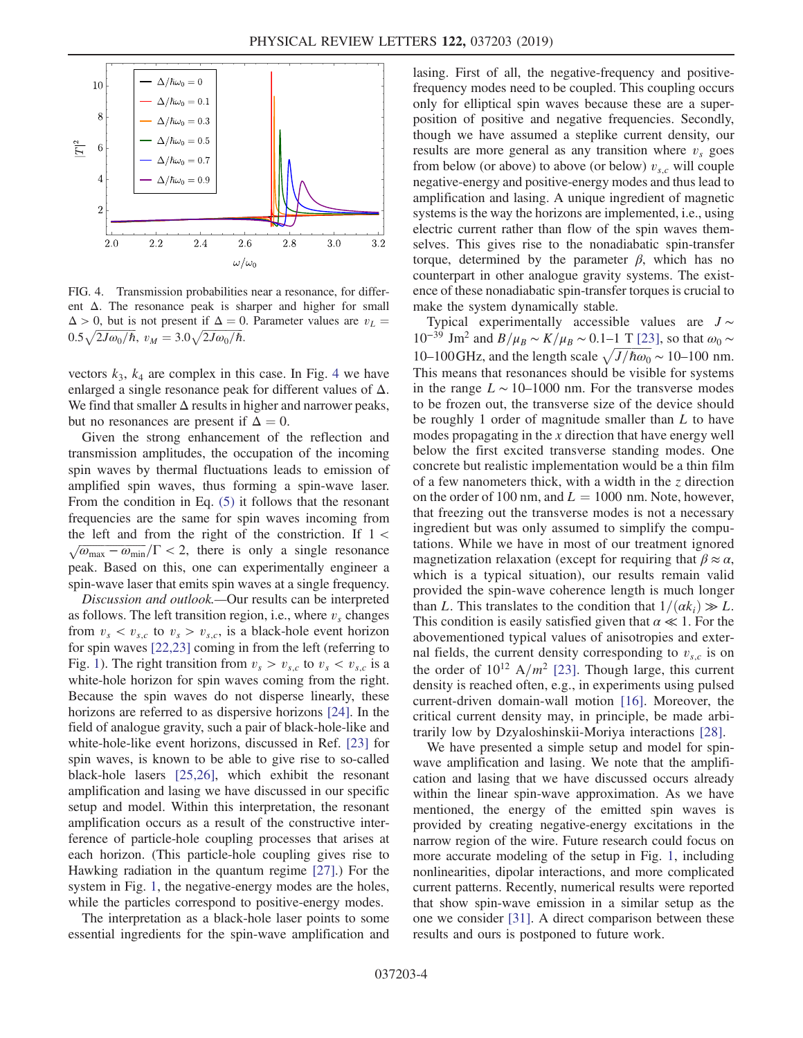<span id="page-3-0"></span>

FIG. 4. Transmission probabilities near a resonance, for different  $\Delta$ . The resonance peak is sharper and higher for small  $\Delta > 0$ , but is not present if  $\Delta = 0$ . Parameter values are  $v_L =$  $0.5\sqrt{2J\omega_0/\hbar}, v_M=3.0\sqrt{2J\omega_0/\hbar}.$ 

vectors  $k_3$ ,  $k_4$  $k_4$  are complex in this case. In Fig. 4 we have enlarged a single resonance peak for different values of  $\Delta$ . We find that smaller  $\Delta$  results in higher and narrower peaks, but no resonances are present if  $\Delta = 0$ .

Given the strong enhancement of the reflection and transmission amplitudes, the occupation of the incoming spin waves by thermal fluctuations leads to emission of amplified spin waves, thus forming a spin-wave laser. From the condition in Eq. [\(5\)](#page-2-3) it follows that the resonant frequencies are the same for spin waves incoming from the left and from the right of the constriction. If  $1 <$  $\sqrt{\omega_{\text{max}} - \omega_{\text{min}}}/\Gamma$  < 2, there is only a single resonance peak. Based on this, one can experimentally engineer a spin-wave laser that emits spin waves at a single frequency.

Discussion and outlook.—Our results can be interpreted as follows. The left transition region, i.e., where  $v<sub>s</sub>$  changes from  $v_s < v_{s,c}$  to  $v_s > v_{s,c}$ , is a black-hole event horizon for spin waves [\[22,23\]](#page-4-12) coming in from the left (referring to Fig. [1\)](#page-1-0). The right transition from  $v_s > v_{s,c}$  to  $v_s < v_{s,c}$  is a white-hole horizon for spin waves coming from the right. Because the spin waves do not disperse linearly, these horizons are referred to as dispersive horizons [\[24\].](#page-4-13) In the field of analogue gravity, such a pair of black-hole-like and white-hole-like event horizons, discussed in Ref. [\[23\]](#page-4-14) for spin waves, is known to be able to give rise to so-called black-hole lasers [\[25,26\],](#page-4-15) which exhibit the resonant amplification and lasing we have discussed in our specific setup and model. Within this interpretation, the resonant amplification occurs as a result of the constructive interference of particle-hole coupling processes that arises at each horizon. (This particle-hole coupling gives rise to Hawking radiation in the quantum regime [\[27\].](#page-4-16)) For the system in Fig. [1,](#page-1-0) the negative-energy modes are the holes, while the particles correspond to positive-energy modes.

The interpretation as a black-hole laser points to some essential ingredients for the spin-wave amplification and lasing. First of all, the negative-frequency and positivefrequency modes need to be coupled. This coupling occurs only for elliptical spin waves because these are a superposition of positive and negative frequencies. Secondly, though we have assumed a steplike current density, our results are more general as any transition where  $v<sub>s</sub>$  goes from below (or above) to above (or below)  $v_{s,c}$  will couple negative-energy and positive-energy modes and thus lead to amplification and lasing. A unique ingredient of magnetic systems is the way the horizons are implemented, i.e., using electric current rather than flow of the spin waves themselves. This gives rise to the nonadiabatic spin-transfer torque, determined by the parameter  $β$ , which has no counterpart in other analogue gravity systems. The existence of these nonadiabatic spin-transfer torques is crucial to make the system dynamically stable.

Typical experimentally accessible values are  $J \sim$ 10<sup>−39</sup> Jm<sup>2</sup> and *B*/ $\mu_B \sim K/\mu_B \sim 0.1$ –1 T [\[23\]](#page-4-14), so that ω<sub>0</sub> ∼ 10–100 GHz, and the length scale  $\sqrt{J/\hbar\omega_0} \sim 10$ –100 nm. This means that resonances should be visible for systems in the range  $L \sim 10-1000$  nm. For the transverse modes to be frozen out, the transverse size of the device should be roughly 1 order of magnitude smaller than L to have modes propagating in the x direction that have energy well below the first excited transverse standing modes. One concrete but realistic implementation would be a thin film of a few nanometers thick, with a width in the  $z$  direction on the order of 100 nm, and  $L = 1000$  nm. Note, however, that freezing out the transverse modes is not a necessary ingredient but was only assumed to simplify the computations. While we have in most of our treatment ignored magnetization relaxation (except for requiring that  $\beta \approx \alpha$ , which is a typical situation), our results remain valid provided the spin-wave coherence length is much longer than L. This translates to the condition that  $1/(\alpha k_i) \gg L$ . This condition is easily satisfied given that  $\alpha \ll 1$ . For the abovementioned typical values of anisotropies and external fields, the current density corresponding to  $v_{s,c}$  is on the order of  $10^{12}$  A/m<sup>2</sup> [\[23\].](#page-4-14) Though large, this current density is reached often, e.g., in experiments using pulsed current-driven domain-wall motion [\[16\].](#page-4-8) Moreover, the critical current density may, in principle, be made arbitrarily low by Dzyaloshinskii-Moriya interactions [\[28\]](#page-4-17).

We have presented a simple setup and model for spinwave amplification and lasing. We note that the amplification and lasing that we have discussed occurs already within the linear spin-wave approximation. As we have mentioned, the energy of the emitted spin waves is provided by creating negative-energy excitations in the narrow region of the wire. Future research could focus on more accurate modeling of the setup in Fig. [1](#page-1-0), including nonlinearities, dipolar interactions, and more complicated current patterns. Recently, numerical results were reported that show spin-wave emission in a similar setup as the one we consider [\[31\].](#page-4-18) A direct comparison between these results and ours is postponed to future work.